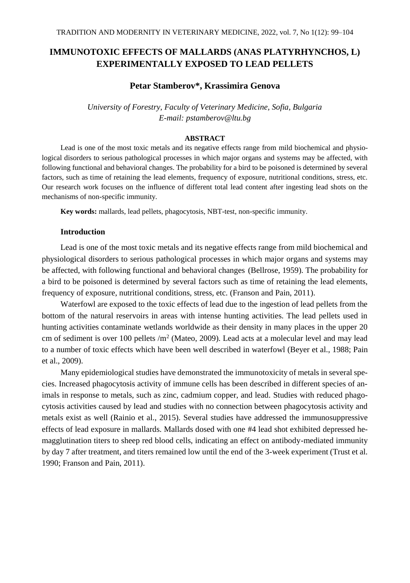# **IMMUNOTOXIC EFFECTS OF MALLARDS (ANAS PLATYRHYNCHOS, L) EXPERIMENTALLY EXPOSED TO LEAD PELLETS**

### **Petar Stamberov\*, Krassimira Genova**

*University of Forestry, Faculty of Veterinary Medicine, Sofia, Bulgaria E-mail: pstamberov@ltu.bg*

### **ABSTRACT**

Lead is one of the most toxic metals and its negative effects range from mild biochemical and physiological disorders to serious pathological processes in which major organs and systems may be affected, with following functional and behavioral changes. The probability for a bird to be poisoned is determined by several factors, such as time of retaining the lead elements, frequency of exposure, nutritional conditions, stress, etc. Our research work focuses on the influence of different total lead content after ingesting lead shots on the mechanisms of non-specific immunity.

**Key words:** mallards, lead pellets, phagocytosis, NBT-test, non-specific immunity.

## **Introduction**

Lead is one of the most toxic metals and its negative effects range from mild biochemical and physiological disorders to serious pathological processes in which major organs and systems may be affected, with following functional and behavioral changes (Bellrose, 1959). The probability for a bird to be poisoned is determined by several factors such as time of retaining the lead elements, frequency of exposure, nutritional conditions, stress, etc. (Franson and Pain, 2011).

Waterfowl are exposed to the toxic effects of lead due to the ingestion of lead pellets from the bottom of the natural reservoirs in areas with intense hunting activities. The lead pellets used in hunting activities contaminate wetlands worldwide as their density in many places in the upper 20 cm of sediment is over 100 pellets  $/m^2$  (Mateo, 2009). Lead acts at a molecular level and may lead to a number of toxic effects which have been well described in waterfowl (Beyer et al., 1988; Pain et al., 2009).

Many epidemiological studies have demonstrated the immunotoxicity of metals in several species. Increased phagocytosis activity of immune cells has been described in different species of animals in response to metals, such as zinc, cadmium copper, and lead. Studies with reduced phagocytosis activities caused by lead and studies with no connection between phagocytosis activity and metals exist as well (Rainio et al., 2015). Several studies have addressed the immunosuppressive effects of lead exposure in mallards. Mallards dosed with one #4 lead shot exhibited depressed hemagglutination titers to sheep red blood cells, indicating an effect on antibody-mediated immunity by day 7 after treatment, and titers remained low until the end of the 3-week experiment (Trust et al. 1990; Franson and Pain, 2011).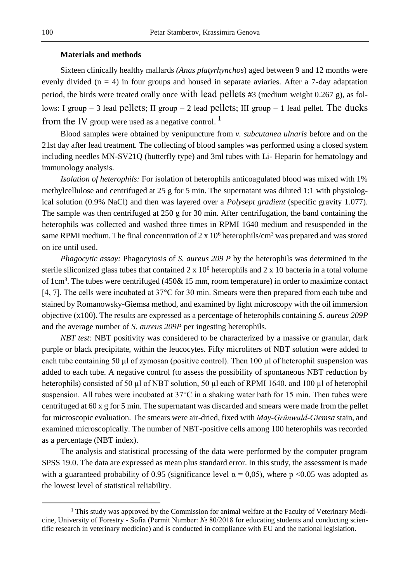# **Materials and methods**

Sixteen clinically healthy mallards *(Anas platyrhynchos*) aged between 9 and 12 months were evenly divided  $(n = 4)$  in four groups and housed in separate aviaries. After a 7-day adaptation period, the birds were treated orally once with lead pellets #3 (medium weight 0.267 g), as follows: Ι group – 3 lead pellets; ΙΙ group – 2 lead pellets; ΙΙΙ group – 1 lead pellet. The ducks from the IV group were used as a negative control.<sup>1</sup>

Blood samples were obtained by venipuncture from *v. subcutanea ulnaris* before and on the 21st day after lead treatment. The collecting of blood samples was performed using a closed system including needles MN-SV21Q (butterfly type) and 3ml tubes with Li- Heparin for hematology and immunology analysis.

*Isolation of heterophils:* For isolation of heterophils anticoagulated blood was mixed with 1% methylcellulose and centrifuged at 25 g for 5 min. The supernatant was diluted 1:1 with physiological solution (0.9% NaCl) and then was layered over a *Polysept gradient* (specific gravity 1.077). The sample was then centrifuged at 250 g for 30 min. After centrifugation, the band containing the heterophils was collected and washed three times in RPMI 1640 medium and resuspended in the same RPMI medium. The final concentration of 2 x  $10^6$  heterophils/cm<sup>3</sup> was prepared and was stored on ice until used.

*Phagocytic assay:* Phagocytosis of *S. aureus 209 P* by the heterophils was determined in the sterile siliconized glass tubes that contained  $2 \times 10^6$  heterophils and  $2 \times 10^6$  bacteria in a total volume of 1cm<sup>3</sup>. The tubes were centrifuged  $(450\& 15$  mm, room temperature) in order to maximize contact [4, 7]. The cells were incubated at 37°C for 30 min. Smears were then prepared from each tube and stained by Romanowsky-Giemsa method, and examined by light microscopy with the oil immersion objective (x100). The results are expressed as a percentage of heterophils containing *S. aureus 209P* and the average number of *S. aureus 209P* per ingesting heterophils.

*NBT test:* NBT positivity was considered to be characterized by a massive or granular, dark purple or black precipitate, within the leucocytes. Fifty microliters of NBT solution were added to each tube containing 50  $\mu$ l of zymosan (positive control). Then 100  $\mu$ l of heterophil suspension was added to each tube. A negative control (to assess the possibility of spontaneous NBT reduction by heterophils) consisted of 50 µl of NBT solution, 50 µl each of RPMI 1640, and 100 µl of heterophil suspension. All tubes were incubated at 37°C in a shaking water bath for 15 min. Then tubes were centrifuged at 60 x g for 5 min. The supernatant was discarded and smears were made from the pellet for microscopic evaluation. The smears were air-dried, fixed with *May-Grünwald-Giemsa* stain, and examined microscopically. The number of NBT-positive cells among 100 heterophils was recorded as a percentage (NBT index).

The analysis and statistical processing of the data were performed by the computer program SPSS 19.0. The data are expressed as mean plus standard error. In this study, the assessment is made with a guaranteed probability of 0.95 (significance level  $\alpha = 0.05$ ), where p <0.05 was adopted as the lowest level of statistical reliability.

 $\overline{a}$ 

<sup>&</sup>lt;sup>1</sup> This study was approved by the Commission for animal welfare at the Faculty of Veterinary Medicine, University of Forestry - Sofia (Permit Number: № 80/2018 for educating students and conducting scientific research in veterinary medicine) and is conducted in compliance with EU and the national legislation.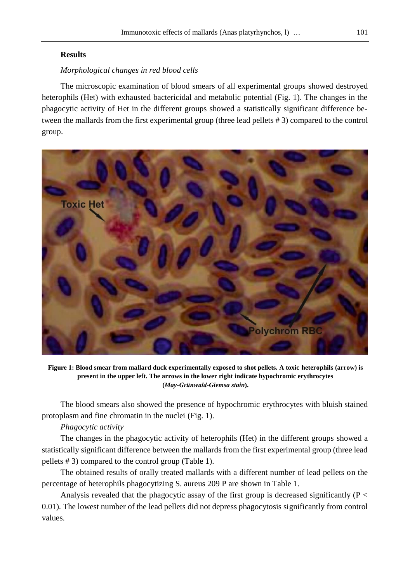# **Results**

# *Morphological changes in red blood cells*

The microscopic examination of blood smears of all experimental groups showed destroyed heterophils (Het) with exhausted bactericidal and metabolic potential (Fig. 1). The changes in the phagocytic activity of Het in the different groups showed a statistically significant difference between the mallards from the first experimental group (three lead pellets # 3) compared to the control group.



**Figure 1: Blood smear from mallard duck experimentally exposed to shot pellets. A toxic heterophils (arrow) is present in the upper left. The arrows in the lower right indicate hypochromic erythrocytes (***May-Grünwald-Giemsa stain***).**

The blood smears also showed the presence of hypochromic erythrocytes with bluish stained protoplasm and fine chromatin in the nuclei (Fig. 1).

# *Phagocytic activity*

The changes in the phagocytic activity of heterophils (Het) in the different groups showed a statistically significant difference between the mallards from the first experimental group (three lead pellets # 3) compared to the control group (Table 1).

The obtained results of orally treated mallards with a different number of lead pellets on the percentage of heterophils phagocytizing S. aureus 209 P are shown in Table 1.

Analysis revealed that the phagocytic assay of the first group is decreased significantly ( $P \lt$ 0.01). The lowest number of the lead pellets did not depress phagocytosis significantly from control values.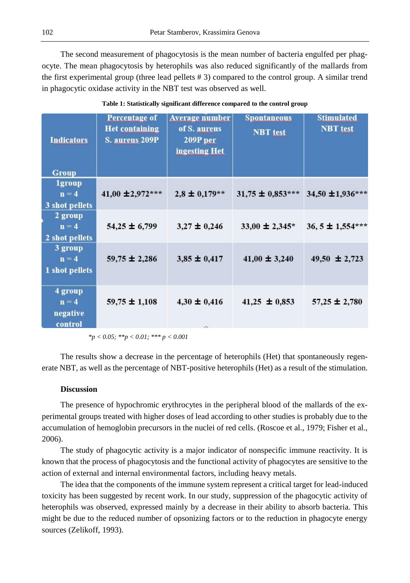The second measurement of phagocytosis is the mean number of bacteria engulfed per phagocyte. The mean phagocytosis by heterophils was also reduced significantly of the mallards from the first experimental group (three lead pellets # 3) compared to the control group. A similar trend in phagocytic oxidase activity in the NBT test was observed as well.

| <b>Indicators</b><br><b>Group</b>          | <b>Percentage of</b><br><b>Het containing</b><br><b>S. aureus 209P</b> | <b>Average number</b><br>of S. aureus<br>209P per<br>ingesting Het | <b>Spontaneous</b><br><b>NBT</b> test | <b>Stimulated</b><br><b>NBT</b> test |
|--------------------------------------------|------------------------------------------------------------------------|--------------------------------------------------------------------|---------------------------------------|--------------------------------------|
| <b>1group</b><br>$n = 4$<br>3 shot pellets | 41,00 $\pm$ 2,972***                                                   | $2,8 \pm 0,179**$                                                  | $31,75 \pm 0.853***$                  | $34,50 \pm 1,936***$                 |
| 2 group<br>$n = 4$<br>2 shot pellets       | $54,25 \pm 6,799$                                                      | $3,27 \pm 0,246$                                                   | $33,00 \pm 2,345^*$                   | $36, 5 \pm 1,554***$                 |
| 3 group<br>$n = 4$<br>1 shot pellets       | $59,75 \pm 2,286$                                                      | $3,85 \pm 0,417$                                                   | $41,00 \pm 3,240$                     | 49,50 $\pm$ 2,723                    |
| 4 group<br>$n = 4$<br>negative<br>control  | $59,75 \pm 1,108$                                                      | $4,30 \pm 0,416$                                                   | $41,25 \pm 0,853$                     | $57,25 \pm 2,780$                    |

**Table 1: Statistically significant difference compared to the control group**

*\*p < 0.05; \*\*p < 0.01; \*\*\* p < 0.001*

The results show a decrease in the percentage of heterophils (Het) that spontaneously regenerate NBT, as well as the percentage of NBT-positive heterophils (Het) as a result of the stimulation.

# **Discussion**

The presence of hypochromic erythrocytes in the peripheral blood of the mallards of the experimental groups treated with higher doses of lead according to other studies is probably due to the accumulation of hemoglobin precursors in the nuclei of red cells. (Roscoe et al., 1979; Fisher et al., 2006).

The study of phagocytic activity is a major indicator of nonspecific immune reactivity. It is known that the process of phagocytosis and the functional activity of phagocytes are sensitive to the action of external and internal environmental factors, including heavy metals.

The idea that the components of the immune system represent a critical target for lead-induced toxicity has been suggested by recent work. In our study, suppression of the phagocytic activity of heterophils was observed, expressed mainly by a decrease in their ability to absorb bacteria. This might be due to the reduced number of opsonizing factors or to the reduction in phagocyte energy sources (Zelikoff, 1993).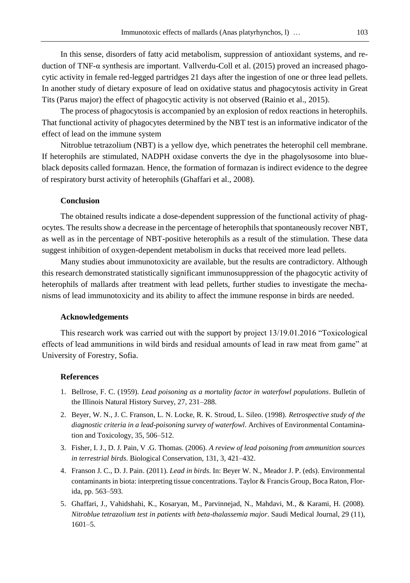In this sense, disorders of fatty acid metabolism, suppression of antioxidant systems, and reduction of TNF-α synthesis are important. Vallverdu-Coll et al. (2015) proved an increased phagocytic activity in female red-legged partridges 21 days after the ingestion of one or three lead pellets. In another study of dietary exposure of lead on oxidative status and phagocytosis activity in Great Tits (Parus major) the effect of phagocytic activity is not observed (Rainio et al., 2015).

The process of phagocytosis is accompanied by an explosion of redox reactions in heterophils. That functional activity of phagocytes determined by the NBT test is an informative indicator of the effect of lead on the immune system

Nitroblue tetrazolium (NBT) is a yellow dye, which penetrates the heterophil cell membrane. If heterophils are stimulated, NADPH oxidase converts the dye in the phagolysosome into blueblack deposits called formazan. Hence, the formation of formazan is indirect evidence to the degree of respiratory burst activity of heterophils (Ghaffari et al., 2008).

# **Conclusion**

The obtained results indicate a dose-dependent suppression of the functional activity of phagocytes. The results show a decrease in the percentage of heterophils that spontaneously recover NBT, as well as in the percentage of NBT-positive heterophils as a result of the stimulation. These data suggest inhibition of oxygen-dependent metabolism in ducks that received more lead pellets.

Many studies about immunotoxicity are available, but the results are contradictory. Although this research demonstrated statistically significant immunosuppression of the phagocytic activity of heterophils of mallards after treatment with lead pellets, further studies to investigate the mechanisms of lead immunotoxicity and its ability to affect the immune response in birds are needed.

### **Acknowledgements**

This research work was carried out with the support by project 13/19.01.2016 "Toxicological effects of lead ammunitions in wild birds and residual amounts of lead in raw meat from game" at University of Forestry, Sofia.

### **References**

- 1. Bellrose, F. C. (1959). *Lead poisoning as a mortality factor in waterfowl populations*. Bulletin of the Illinois Natural History Survey, 27, 231–288.
- 2. Beyer, W. N., J. C. Franson, L. N. Locke, R. K. Stroud, L. Sileo. (1998). *Retrospective study of the diagnostic criteria in a lead-poisoning survey of waterfowl*. Archives of Environmental Contamination and Toxicology, 35, 506–512.
- 3. Fisher, I. J., D. J. Pain, V .G. Thomas. (2006). *A review of lead poisoning from ammunition sources in terrestrial birds*. Biological Conservation, 131, 3, 421–432.
- 4. Franson J. C., D. J. Pain. (2011). *Lead in birds*. In: Beyer W. N., Meador J. P. (eds). Environmental contaminants in biota: interpreting tissue concentrations. Taylor & Francis Group, Boca Raton, Florida, pp. 563–593.
- 5. Ghaffari, J., Vahidshahi, K., Kosaryan, M., Parvinnejad, N., Mahdavi, M., & Karami, H. (2008). *Nitroblue tetrazolium test in patients with beta-thalassemia major*. Saudi Medical Journal, 29 (11), 1601–5.